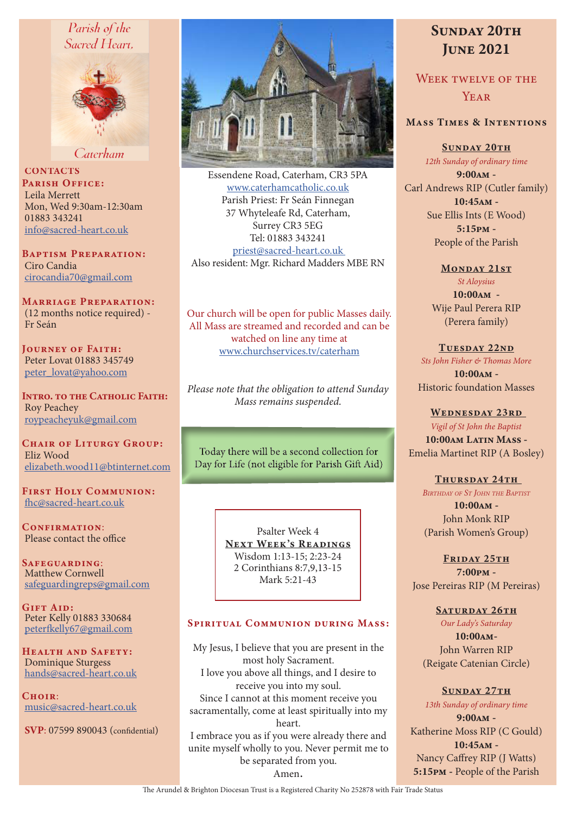## Parish of the Sacred Heart.



Caterham

**CONTACTS** PARISH OFFICE: Leila Merrett Mon, Wed 9:30am-12:30am 01883 343241 info@sacred-heart.co.uk

Baptism Preparation: Ciro Candia cirocandia70@gmail.com

Marriage Preparation: (12 months notice required) - Fr Seán

Journey of Faith: Peter Lovat 01883 345749 peter\_lovat@yahoo.com

Intro. to the Catholic Faith: Roy Peachey roypeacheyuk@gmail.com

CHAIR OF LITURGY GROUP: Eliz Wood elizabeth.wood11@btinternet.com

First Holy Communion: fhc@sacred-heart.co.uk

CONFIRMATION: Please contact the office

Safeguarding: Matthew Cornwell safeguardingreps@gmail.com

GIFT AID: Peter Kelly 01883 330684 peterfkelly67@gmail.com

HEALTH AND SAFETY: Dominique Sturgess hands@sacred-heart.co.uk

 $C$ HOIR: music@sacred-heart.co.uk

SVP: 07599 890043 (confidential)



Essendene Road, Caterham, CR3 5PA www.caterhamcatholic.co.uk Parish Priest: Fr Seán Finnegan 37 Whyteleafe Rd, Caterham, Surrey CR3 5EG Tel: 01883 343241 priest@sacred-heart.co.uk Also resident: Mgr. Richard Madders MBE RN

Our church will be open for public Masses daily. All Mass are streamed and recorded and can be watched on line any time at www.churchservices.tv/caterham

*Please note that the obligation to attend Sunday Mass remains suspended.*

Today there will be a second collection for Day for Life (not eligible for Parish Gift Aid)

> Psalter Week 4 NEXT WEEK'S READINGS Wisdom 1:13-15; 2:23-24 2 Corinthians 8:7,9,13-15 Mark 5:21-43

#### SPIRITUAL COMMUNION DURING MASS:

My Jesus, I believe that you are present in the most holy Sacrament. I love you above all things, and I desire to receive you into my soul. Since I cannot at this moment receive you sacramentally, come at least spiritually into my heart. I embrace you as if you were already there and unite myself wholly to you. Never permit me to be separated from you. Amen.

# SUNDAY 20TH **JUNE 2021**

WEEK TWELVE OF THE YEAR

### Mass Times & Intentions

SUNDAY 20TH *12th Sunday of ordinary time* 9:00am - Carl Andrews RIP (Cutler family) 10:45am - Sue Ellis Ints (E Wood) 5:15pm - People of the Parish

> MONDAY 21ST *St Aloysius* 10:00am - Wije Paul Perera RIP (Perera family)

TUESDAY 22ND *Sts John Fisher & Thomas More* 10:00am - Historic foundation Masses

WEDNESDAY 23RD *Vigil of St John the Baptist* 10:00am Latin Mass -Emelia Martinet RIP (A Bosley)

THURSDAY 24TH *Birthday of St John the Baptist*  $10:00AM -$ John Monk RIP (Parish Women's Group)

FRIDAY 25TH 7:00pm - Jose Pereiras RIP (M Pereiras)

> SATURDAY 26TH *Our Lady's Saturday*

10:00am-John Warren RIP (Reigate Catenian Circle)

SUNDAY 27TH *13th Sunday of ordinary time* 9:00am - Katherine Moss RIP (C Gould) 10:45am - Nancy Caffrey RIP (J Watts) 5:15pm - People of the Parish